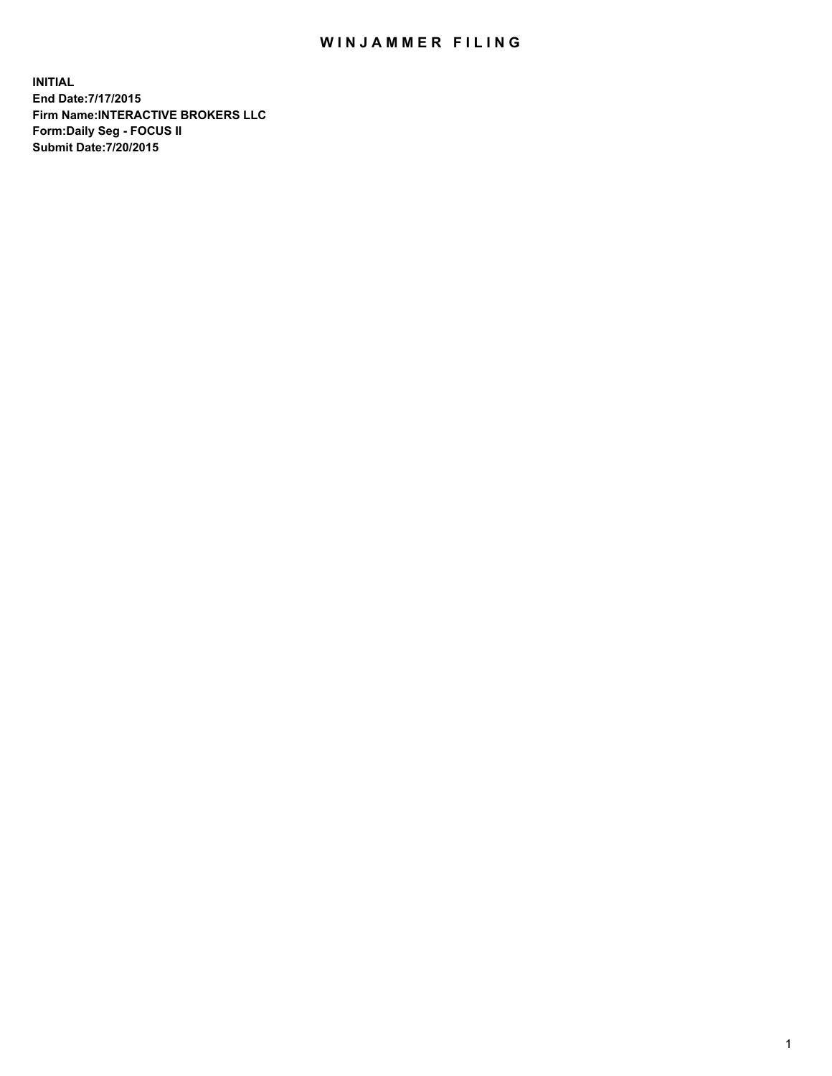## WIN JAMMER FILING

**INITIAL End Date:7/17/2015 Firm Name:INTERACTIVE BROKERS LLC Form:Daily Seg - FOCUS II Submit Date:7/20/2015**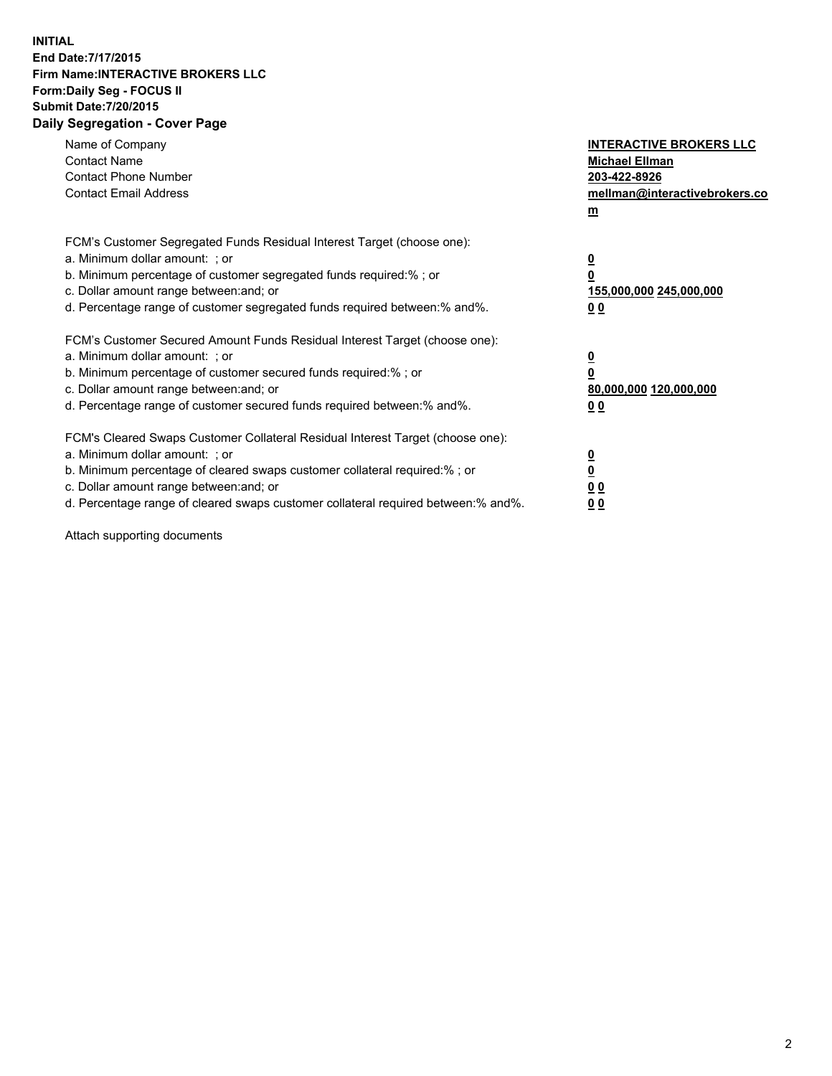## **INITIAL End Date:7/17/2015 Firm Name:INTERACTIVE BROKERS LLC Form:Daily Seg - FOCUS II Submit Date:7/20/2015 Daily Segregation - Cover Page**

| Name of Company<br><b>Contact Name</b><br><b>Contact Phone Number</b><br><b>Contact Email Address</b>                                                                                                                                                                                                                          | <b>INTERACTIVE BROKERS LLC</b><br><b>Michael Ellman</b><br>203-422-8926<br>mellman@interactivebrokers.co<br>$m$ |
|--------------------------------------------------------------------------------------------------------------------------------------------------------------------------------------------------------------------------------------------------------------------------------------------------------------------------------|-----------------------------------------------------------------------------------------------------------------|
| FCM's Customer Segregated Funds Residual Interest Target (choose one):<br>a. Minimum dollar amount: ; or<br>b. Minimum percentage of customer segregated funds required:% ; or<br>c. Dollar amount range between: and; or<br>d. Percentage range of customer segregated funds required between: % and %.                       | $\overline{\mathbf{0}}$<br>0<br>155,000,000 245,000,000<br>00                                                   |
| FCM's Customer Secured Amount Funds Residual Interest Target (choose one):<br>a. Minimum dollar amount: ; or<br>b. Minimum percentage of customer secured funds required:%; or<br>c. Dollar amount range between: and; or<br>d. Percentage range of customer secured funds required between: % and %.                          | $\overline{\mathbf{0}}$<br>0<br>80,000,000 120,000,000<br>0 <sub>0</sub>                                        |
| FCM's Cleared Swaps Customer Collateral Residual Interest Target (choose one):<br>a. Minimum dollar amount: ; or<br>b. Minimum percentage of cleared swaps customer collateral required:% ; or<br>c. Dollar amount range between: and; or<br>d. Percentage range of cleared swaps customer collateral required between:% and%. | $\overline{\mathbf{0}}$<br>$\underline{\mathbf{0}}$<br>0 <sub>0</sub><br>0 <sub>0</sub>                         |

Attach supporting documents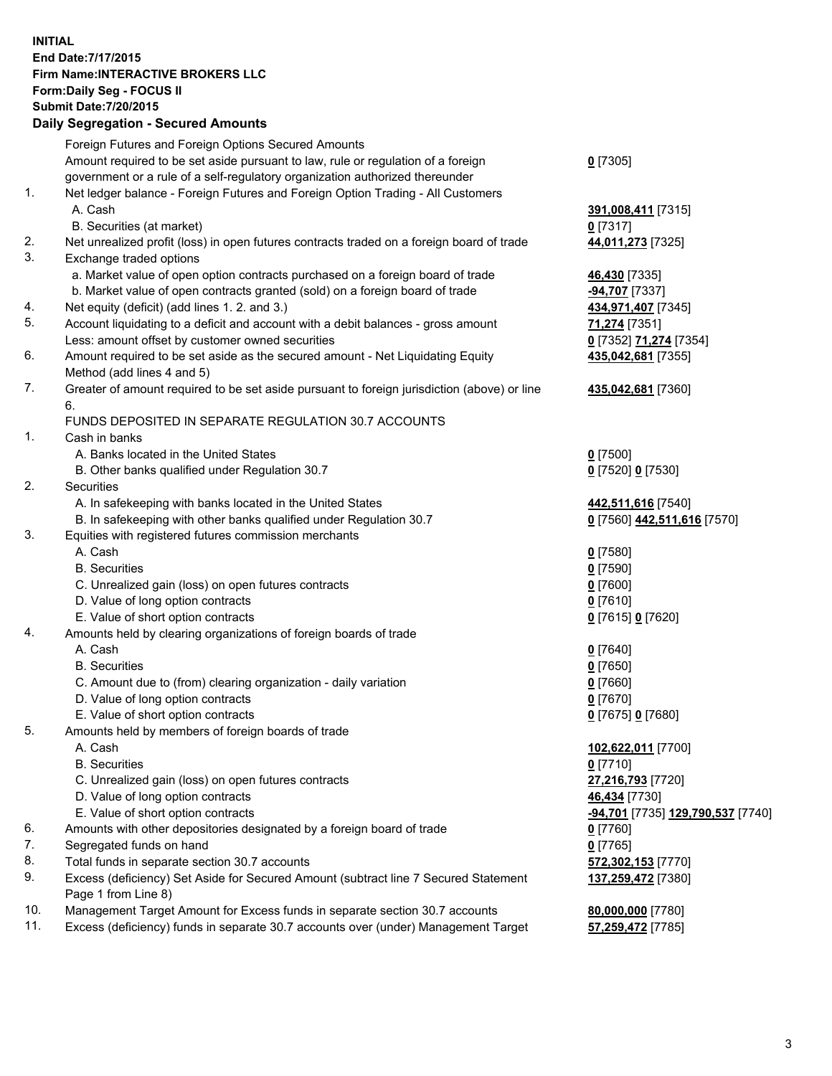## **INITIAL End Date:7/17/2015 Firm Name:INTERACTIVE BROKERS LLC Form:Daily Seg - FOCUS II Submit Date:7/20/2015 Daily Segregation - Secured Amounts**

|          | <b>Pany Obyroganon</b> Obbarba Annoann                                                             |                                                       |
|----------|----------------------------------------------------------------------------------------------------|-------------------------------------------------------|
|          | Foreign Futures and Foreign Options Secured Amounts                                                |                                                       |
|          | Amount required to be set aside pursuant to law, rule or regulation of a foreign                   | $0$ [7305]                                            |
|          | government or a rule of a self-regulatory organization authorized thereunder                       |                                                       |
| 1.       | Net ledger balance - Foreign Futures and Foreign Option Trading - All Customers                    |                                                       |
|          | A. Cash                                                                                            | 391,008,411 [7315]                                    |
|          | B. Securities (at market)                                                                          | $0$ [7317]                                            |
| 2.       | Net unrealized profit (loss) in open futures contracts traded on a foreign board of trade          | 44,011,273 [7325]                                     |
| 3.       | Exchange traded options                                                                            |                                                       |
|          | a. Market value of open option contracts purchased on a foreign board of trade                     | 46,430 [7335]                                         |
|          | b. Market value of open contracts granted (sold) on a foreign board of trade                       | -94,707 [7337]                                        |
| 4.       | Net equity (deficit) (add lines 1.2. and 3.)                                                       | 434,971,407 [7345]                                    |
| 5.       | Account liquidating to a deficit and account with a debit balances - gross amount                  | 71,274 [7351]                                         |
|          | Less: amount offset by customer owned securities                                                   | 0 [7352] 71,274 [7354]                                |
| 6.       | Amount required to be set aside as the secured amount - Net Liquidating Equity                     | 435,042,681 [7355]                                    |
|          | Method (add lines 4 and 5)                                                                         |                                                       |
| 7.       | Greater of amount required to be set aside pursuant to foreign jurisdiction (above) or line        | 435,042,681 [7360]                                    |
|          | 6.                                                                                                 |                                                       |
|          | FUNDS DEPOSITED IN SEPARATE REGULATION 30.7 ACCOUNTS                                               |                                                       |
| 1.       | Cash in banks                                                                                      |                                                       |
|          | A. Banks located in the United States                                                              | $0$ [7500]                                            |
|          | B. Other banks qualified under Regulation 30.7                                                     | 0 [7520] 0 [7530]                                     |
| 2.       | Securities                                                                                         |                                                       |
|          | A. In safekeeping with banks located in the United States                                          | 442,511,616 [7540]                                    |
|          | B. In safekeeping with other banks qualified under Regulation 30.7                                 | 0 [7560] 442,511,616 [7570]                           |
| 3.       | Equities with registered futures commission merchants                                              |                                                       |
|          | A. Cash                                                                                            | $0$ [7580]                                            |
|          | <b>B.</b> Securities                                                                               | $0$ [7590]                                            |
|          | C. Unrealized gain (loss) on open futures contracts                                                | $0$ [7600]                                            |
|          | D. Value of long option contracts                                                                  | $0$ [7610]                                            |
|          | E. Value of short option contracts                                                                 | 0 [7615] 0 [7620]                                     |
| 4.       | Amounts held by clearing organizations of foreign boards of trade                                  |                                                       |
|          | A. Cash                                                                                            | $0$ [7640]                                            |
|          | <b>B.</b> Securities                                                                               | $0$ [7650]                                            |
|          | C. Amount due to (from) clearing organization - daily variation                                    | $0$ [7660]                                            |
|          | D. Value of long option contracts                                                                  | $0$ [7670]                                            |
|          | E. Value of short option contracts                                                                 | 0 [7675] 0 [7680]                                     |
| 5.       | Amounts held by members of foreign boards of trade                                                 |                                                       |
|          | A. Cash                                                                                            | 102,622,011 [7700]                                    |
|          | <b>B.</b> Securities                                                                               | $0$ [7710]                                            |
|          | C. Unrealized gain (loss) on open futures contracts                                                | 27,216,793 [7720]                                     |
|          | D. Value of long option contracts                                                                  | 46,434 [7730]                                         |
|          | E. Value of short option contracts                                                                 | <mark>-94,701</mark> [7735] <u>129,790,537</u> [7740] |
| 6.       | Amounts with other depositories designated by a foreign board of trade                             | $0$ [7760]                                            |
| 7.       | Segregated funds on hand                                                                           | $0$ [7765]                                            |
| 8.<br>9. | Total funds in separate section 30.7 accounts                                                      | 572,302,153 [7770]                                    |
|          | Excess (deficiency) Set Aside for Secured Amount (subtract line 7 Secured Statement                | 137,259,472 [7380]                                    |
| 10.      | Page 1 from Line 8)<br>Management Target Amount for Excess funds in separate section 30.7 accounts |                                                       |
| 11.      | Excess (deficiency) funds in separate 30.7 accounts over (under) Management Target                 | 80,000,000 [7780]                                     |
|          |                                                                                                    | 57,259,472 [7785]                                     |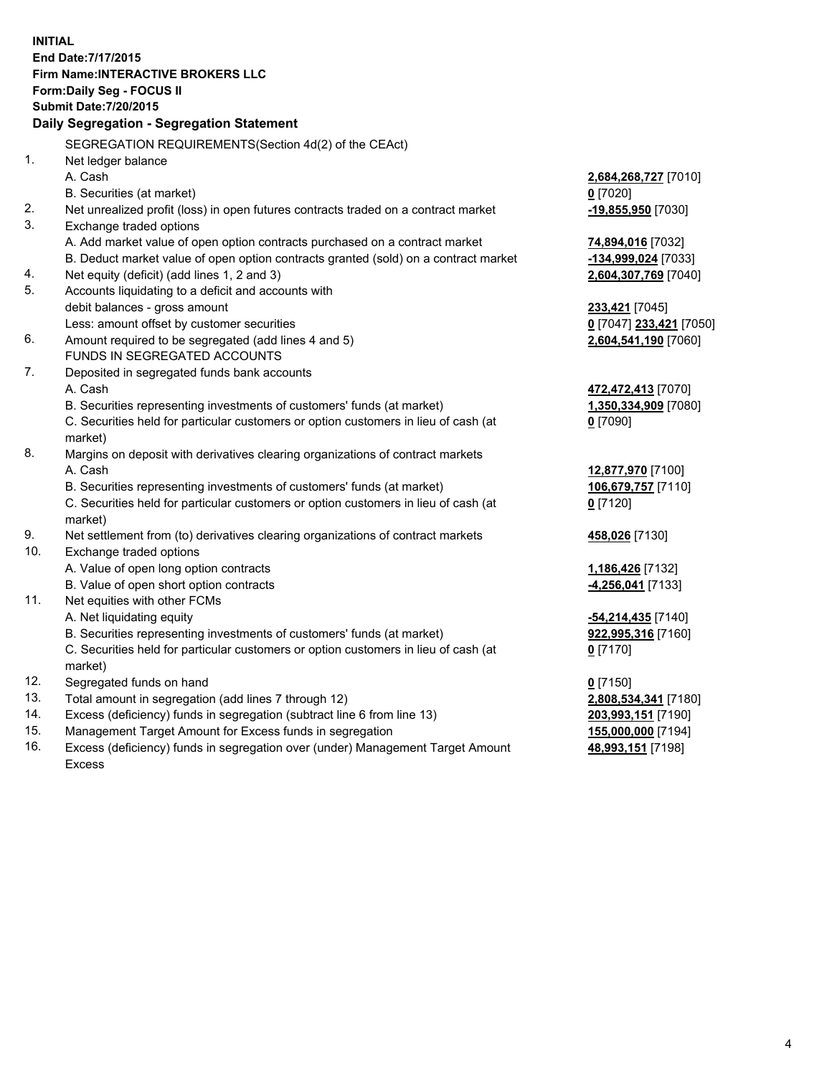**INITIAL End Date:7/17/2015 Firm Name:INTERACTIVE BROKERS LLC Form:Daily Seg - FOCUS II Submit Date:7/20/2015 Daily Segregation - Segregation Statement** SEGREGATION REQUIREMENTS(Section 4d(2) of the CEAct) 1. Net ledger balance A. Cash **2,684,268,727** [7010] B. Securities (at market) **0** [7020] 2. Net unrealized profit (loss) in open futures contracts traded on a contract market **-19,855,950** [7030] 3. Exchange traded options A. Add market value of open option contracts purchased on a contract market **74,894,016** [7032] B. Deduct market value of open option contracts granted (sold) on a contract market **-134,999,024** [7033] 4. Net equity (deficit) (add lines 1, 2 and 3) **2,604,307,769** [7040] 5. Accounts liquidating to a deficit and accounts with debit balances - gross amount **233,421** [7045] Less: amount offset by customer securities **0** [7047] **233,421** [7050] 6. Amount required to be segregated (add lines 4 and 5) **2,604,541,190** [7060] FUNDS IN SEGREGATED ACCOUNTS 7. Deposited in segregated funds bank accounts A. Cash **472,472,413** [7070] B. Securities representing investments of customers' funds (at market) **1,350,334,909** [7080] C. Securities held for particular customers or option customers in lieu of cash (at market) **0** [7090] 8. Margins on deposit with derivatives clearing organizations of contract markets A. Cash **12,877,970** [7100] B. Securities representing investments of customers' funds (at market) **106,679,757** [7110] C. Securities held for particular customers or option customers in lieu of cash (at market) **0** [7120] 9. Net settlement from (to) derivatives clearing organizations of contract markets **458,026** [7130] 10. Exchange traded options A. Value of open long option contracts **1,186,426** [7132] B. Value of open short option contracts **-4,256,041** [7133] 11. Net equities with other FCMs A. Net liquidating equity **-54,214,435** [7140] B. Securities representing investments of customers' funds (at market) **922,995,316** [7160] C. Securities held for particular customers or option customers in lieu of cash (at market) **0** [7170] 12. Segregated funds on hand **0** [7150] 13. Total amount in segregation (add lines 7 through 12) **2,808,534,341** [7180] 14. Excess (deficiency) funds in segregation (subtract line 6 from line 13) **203,993,151** [7190] 15. Management Target Amount for Excess funds in segregation **155,000,000** [7194]

16. Excess (deficiency) funds in segregation over (under) Management Target Amount Excess

**48,993,151** [7198]